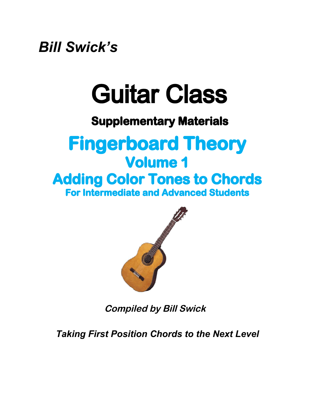*Bill Swick's*

# Guitar Class

### **Supplementary Materials**

### **Fingerboard Theory Volume 1 Adding Color Tones to Chords For Intermediate and Advanced Students**



**Compiled by Bill Swick**

*Taking First Position Chords to the Next Level*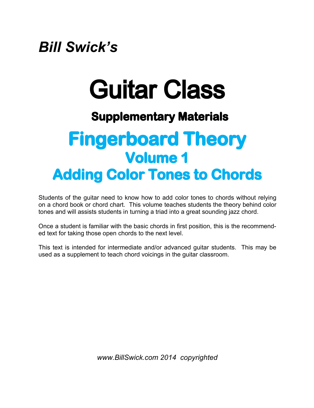## *Bill Swick's*

# Guitar Class

### **Supplementary Materials**

## **Fingerboard Theory Volume 1 Adding Color Tones to Chords**

Students of the guitar need to know how to add color tones to chords without relying on a chord book or chord chart. This volume teaches students the theory behind color tones and will assists students in turning a triad into a great sounding jazz chord.

Once a student is familiar with the basic chords in first position, this is the recommended text for taking those open chords to the next level.

This text is intended for intermediate and/or advanced guitar students. This may be used as a supplement to teach chord voicings in the guitar classroom.

*[www.BillSwick.com 2014 copyrighted](www.BillSwick.com 2014  copyrighted)*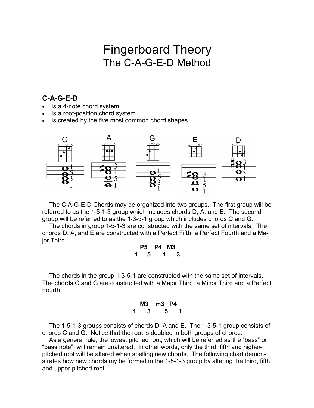### Fingerboard Theory The C-A-G-E-D Method

#### **C-A-G-E-D**

- Is a 4-note chord system
- Is a root-position chord system
- Is created by the five most common chord shapes



The C-A-G-E-D Chords may be organized into two groups. The first group will be referred to as the 1-5-1-3 group which includes chords D, A, and E. The second group will be referred to as the 1-3-5-1 group which includes chords C and G.

The chords in group 1-5-1-3 are constructed with the same set of intervals. The chords D, A, and E are constructed with a Perfect Fifth, a Perfect Fourth and a Major Third.

|   | P5 - | <b>P4 M3</b> |   |  |
|---|------|--------------|---|--|
| 1 | 5.   |              | 3 |  |

The chords in the group 1-3-5-1 are constructed with the same set of intervals. The chords C and G are constructed with a Major Third, a Minor Third and a Perfect Fourth.

|   | M3 | m3 P4 |  |
|---|----|-------|--|
| 1 | 3  | 5     |  |

The 1-5-1-3 groups consists of chords D, A and E. The 1-3-5-1 group consists of chords C and G. Notice that the root is doubled in both groups of chords.

As a general rule, the lowest pitched root, which will be referred as the "bass" or "bass note", will remain unaltered. In other words, only the third, fifth and higherpitched root will be altered when spelling new chords. The following chart demonstrates how new chords my be formed in the 1-5-1-3 group by altering the third, fifth and upper-pitched root.